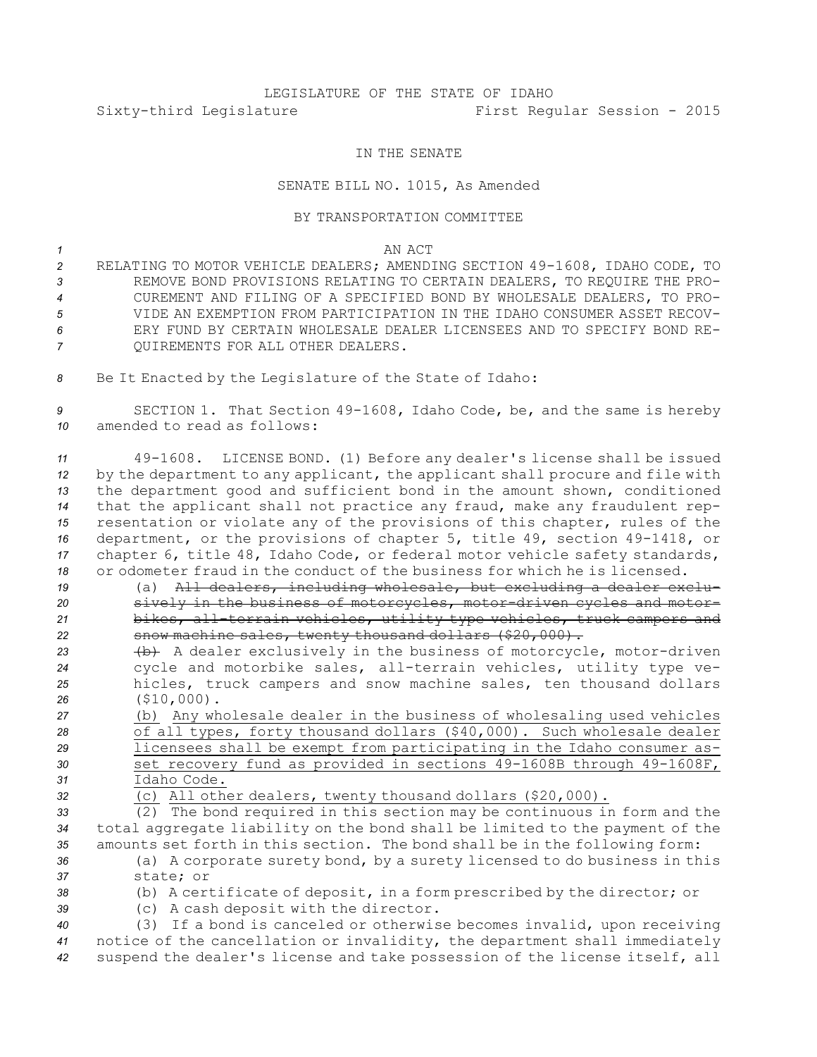## LEGISLATURE OF THE STATE OF IDAHO Sixty-third Legislature First Regular Session - 2015

## IN THE SENATE

## SENATE BILL NO. 1015, As Amended

## BY TRANSPORTATION COMMITTEE

*1* AN ACT

 RELATING TO MOTOR VEHICLE DEALERS; AMENDING SECTION 49-1608, IDAHO CODE, TO REMOVE BOND PROVISIONS RELATING TO CERTAIN DEALERS, TO REQUIRE THE PRO- CUREMENT AND FILING OF A SPECIFIED BOND BY WHOLESALE DEALERS, TO PRO- VIDE AN EXEMPTION FROM PARTICIPATION IN THE IDAHO CONSUMER ASSET RECOV- ERY FUND BY CERTAIN WHOLESALE DEALER LICENSEES AND TO SPECIFY BOND RE-QUIREMENTS FOR ALL OTHER DEALERS.

*<sup>8</sup>* Be It Enacted by the Legislature of the State of Idaho:

*<sup>9</sup>* SECTION 1. That Section 49-1608, Idaho Code, be, and the same is hereby *10* amended to read as follows:

 49-1608. LICENSE BOND. (1) Before any dealer's license shall be issued by the department to any applicant, the applicant shall procure and file with the department good and sufficient bond in the amount shown, conditioned that the applicant shall not practice any fraud, make any fraudulent rep- resentation or violate any of the provisions of this chapter, rules of the department, or the provisions of chapter 5, title 49, section 49-1418, or chapter 6, title 48, Idaho Code, or federal motor vehicle safety standards, or odometer fraud in the conduct of the business for which he is licensed.

 (a) All dealers, including wholesale, but excluding <sup>a</sup> dealer exclu- sively in the business of motorcycles, motor-driven cycles and motor- bikes, all-terrain vehicles, utility type vehicles, truck campers and **show machine sales, twenty thousand dollars (\$20,000).** 

23 (b) A dealer exclusively in the business of motorcycle, motor-driven cycle and motorbike sales, all-terrain vehicles, utility type ve- hicles, truck campers and snow machine sales, ten thousand dollars (\$10,000).

 (b) Any wholesale dealer in the business of wholesaling used vehicles of all types, forty thousand dollars (\$40,000). Such wholesale dealer licensees shall be exempt from participating in the Idaho consumer as- set recovery fund as provided in sections 49-1608B through 49-1608F, Idaho Code.

*<sup>32</sup>* (c) All other dealers, twenty thousand dollars (\$20,000).

*<sup>33</sup>* (2) The bond required in this section may be continuous in form and the *<sup>34</sup>* total aggregate liability on the bond shall be limited to the payment of the *<sup>35</sup>* amounts set forth in this section. The bond shall be in the following form:

*<sup>36</sup>* (a) <sup>A</sup> corporate surety bond, by <sup>a</sup> surety licensed to do business in this *37* state; or

- 
- *<sup>38</sup>* (b) <sup>A</sup> certificate of deposit, in <sup>a</sup> form prescribed by the director; or
	- *<sup>39</sup>* (c) <sup>A</sup> cash deposit with the director.

*<sup>40</sup>* (3) If <sup>a</sup> bond is canceled or otherwise becomes invalid, upon receiving *<sup>41</sup>* notice of the cancellation or invalidity, the department shall immediately *<sup>42</sup>* suspend the dealer's license and take possession of the license itself, all